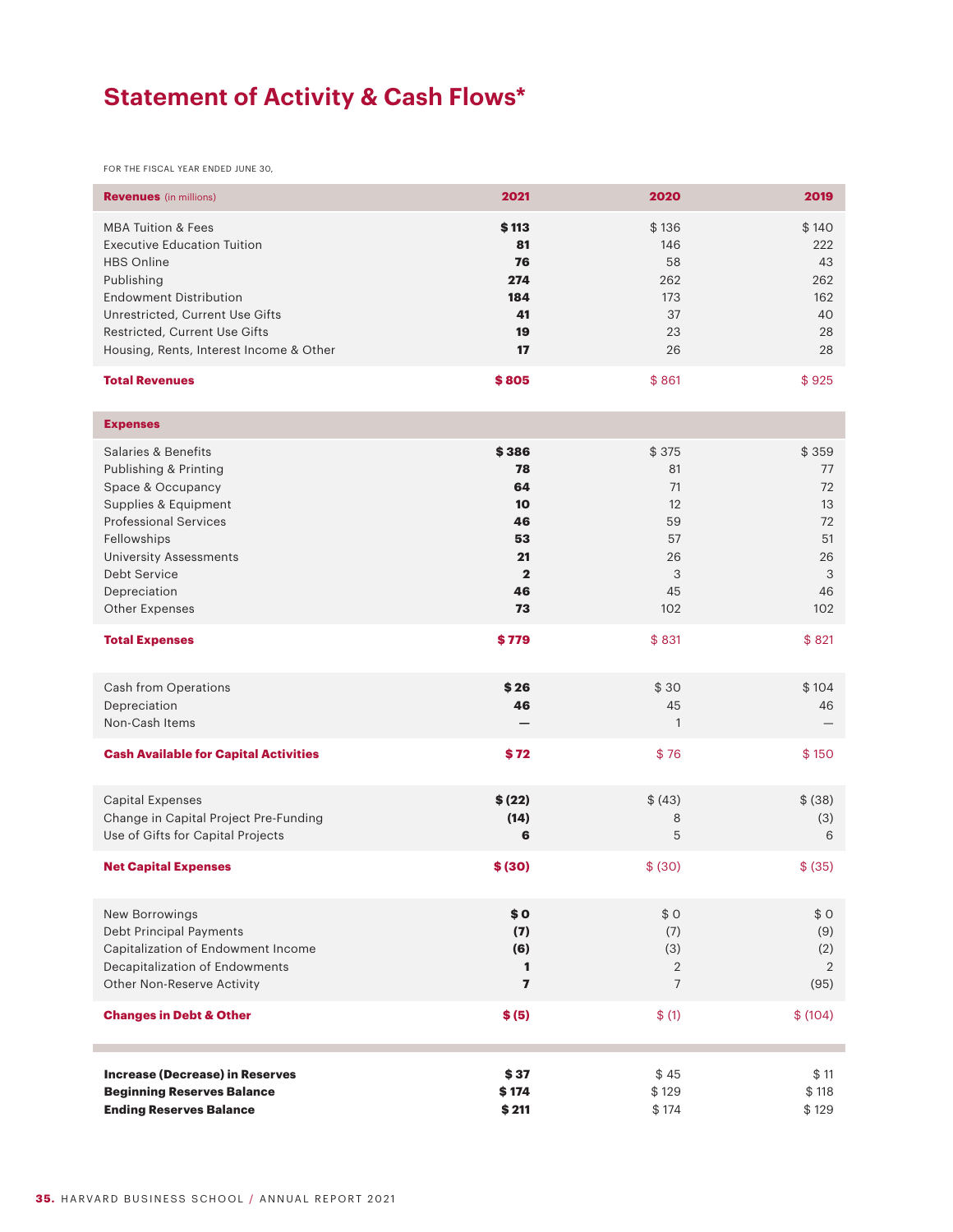## **Statement of Activity & Cash Flows\***

FOR THE FISCAL YEAR ENDED JUNE 30,

| <b>Revenues</b> (in millions)                                                                                                                                                                                                                          | 2021                                                                                 | 2020                                                        | 2019                                                        |
|--------------------------------------------------------------------------------------------------------------------------------------------------------------------------------------------------------------------------------------------------------|--------------------------------------------------------------------------------------|-------------------------------------------------------------|-------------------------------------------------------------|
| <b>MBA Tuition &amp; Fees</b><br><b>Executive Education Tuition</b><br><b>HBS Online</b><br>Publishing<br><b>Endowment Distribution</b><br>Unrestricted, Current Use Gifts<br>Restricted, Current Use Gifts<br>Housing, Rents, Interest Income & Other | \$113<br>81<br>76<br>274<br>184<br>41<br>19<br>17                                    | \$136<br>146<br>58<br>262<br>173<br>37<br>23<br>26          | \$140<br>222<br>43<br>262<br>162<br>40<br>28<br>28          |
| <b>Total Revenues</b>                                                                                                                                                                                                                                  | \$805                                                                                | \$861                                                       | \$925                                                       |
| <b>Expenses</b>                                                                                                                                                                                                                                        |                                                                                      |                                                             |                                                             |
| Salaries & Benefits<br>Publishing & Printing<br>Space & Occupancy<br>Supplies & Equipment<br><b>Professional Services</b><br>Fellowships<br><b>University Assessments</b><br>Debt Service<br>Depreciation<br>Other Expenses                            | \$386<br>78<br>64<br>10 <sup>2</sup><br>46<br>53<br>21<br>$\overline{2}$<br>46<br>73 | \$375<br>81<br>71<br>12<br>59<br>57<br>26<br>3<br>45<br>102 | \$359<br>77<br>72<br>13<br>72<br>51<br>26<br>3<br>46<br>102 |
| <b>Total Expenses</b>                                                                                                                                                                                                                                  | \$779                                                                                | \$831                                                       | \$821                                                       |
| Cash from Operations<br>Depreciation<br>Non-Cash Items                                                                                                                                                                                                 | \$26<br>46                                                                           | \$30<br>45<br>$\mathbf{1}$                                  | \$104<br>46                                                 |
| <b>Cash Available for Capital Activities</b>                                                                                                                                                                                                           | \$72                                                                                 | \$76                                                        | \$150                                                       |
| <b>Capital Expenses</b><br>Change in Capital Project Pre-Funding<br>Use of Gifts for Capital Projects                                                                                                                                                  | \$ (22)<br>(14)<br>6                                                                 | \$ (43)<br>8<br>5                                           | \$ (38)<br>(3)<br>6                                         |
| <b>Net Capital Expenses</b>                                                                                                                                                                                                                            | \$ (30)                                                                              | \$ (30)                                                     | \$ (35)                                                     |
| New Borrowings<br>Debt Principal Payments<br>Capitalization of Endowment Income<br>Decapitalization of Endowments<br>Other Non-Reserve Activity                                                                                                        | \$0<br>(7)<br>(6)<br>$\mathbf{1}$<br>$\overline{ }$                                  | \$0<br>(7)<br>(3)<br>$\overline{2}$<br>$\overline{7}$       | \$0<br>(9)<br>(2)<br>2<br>(95)                              |
| <b>Changes in Debt &amp; Other</b>                                                                                                                                                                                                                     | \$ (5)                                                                               | \$(1)                                                       | \$(104)                                                     |
| <b>Increase (Decrease) in Reserves</b><br><b>Beginning Reserves Balance</b><br><b>Ending Reserves Balance</b>                                                                                                                                          | \$37<br>\$174<br>\$211                                                               | \$45<br>\$129<br>\$174                                      | \$11<br>\$118<br>\$129                                      |